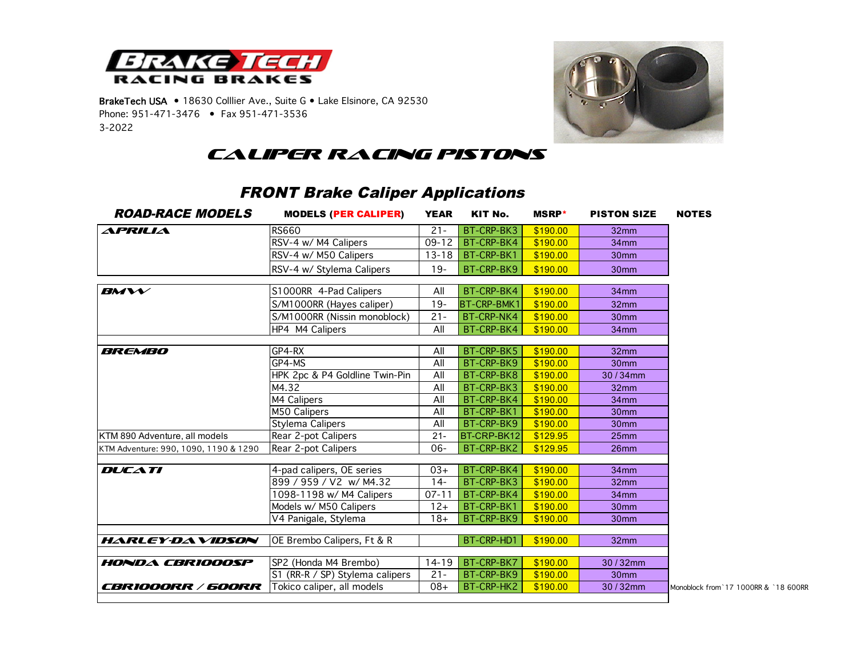

BrakeTech USA • 18630 Colllier Ave., Suite G • Lake Elsinore, CA 92530 Phone: 951-471-3476 • Fax 951-471-3536 3-2022



*Caliper Racing Pistons*

## FRONT Brake Caliper Applications

| <b>ROAD-RACE MODELS</b>               | <b>MODELS (PER CALIPER)</b>     | <b>YEAR</b>      | KIT No.            | <b>MSRP</b> * | <b>PISTON SIZE</b> | <b>NOTES</b>  |
|---------------------------------------|---------------------------------|------------------|--------------------|---------------|--------------------|---------------|
| APRILIA                               | <b>RS660</b>                    | $21 -$           | BT-CRP-BK3         | \$190.00      | 32mm               |               |
|                                       | RSV-4 w/ M4 Calipers            | $09 - 12$        | BT-CRP-BK4         | \$190.00      | 34 <sub>mm</sub>   |               |
|                                       | RSV-4 w/ M50 Calipers           | $13 - 18$        | BT-CRP-BK1         | \$190.00      | 30 <sub>mm</sub>   |               |
|                                       | RSV-4 w/ Stylema Calipers       | $19 -$           | BT-CRP-BK9         | \$190.00      | 30 <sub>mm</sub>   |               |
| $B$ M $V$                             | S1000RR 4-Pad Calipers          | All              | BT-CRP-BK4         | \$190.00      | 34mm               |               |
|                                       | S/M1000RR (Hayes caliper)       | $19 -$           | <b>BT-CRP-BMK1</b> | \$190.00      | 32 <sub>mm</sub>   |               |
|                                       | S/M1000RR (Nissin monoblock)    | $21 -$           | BT-CRP-NK4         | \$190.00      | 30 <sub>mm</sub>   |               |
|                                       | HP4 M4 Calipers                 | All              | BT-CRP-BK4         | \$190.00      | 34 <sub>mm</sub>   |               |
| <i>BREMBO</i>                         | GP4-RX                          | All              | BT-CRP-BK5         | \$190.00      | 32 <sub>mm</sub>   |               |
|                                       | GP4-MS                          | $\overline{All}$ | BT-CRP-BK9         | \$190.00      | 30mm               |               |
|                                       | HPK 2pc & P4 Goldline Twin-Pin  | All              | BT-CRP-BK8         | \$190.00      | 30/34mm            |               |
|                                       | M4.32                           | All              | BT-CRP-BK3         | \$190.00      | 32mm               |               |
|                                       | M4 Calipers                     | All              | BT-CRP-BK4         | \$190.00      | 34 <sub>mm</sub>   |               |
|                                       | M50 Calipers                    | All              | BT-CRP-BK1         | \$190.00      | 30 <sub>mm</sub>   |               |
|                                       | Stylema Calipers                | All              | BT-CRP-BK9         | \$190.00      | 30 <sub>mm</sub>   |               |
| KTM 890 Adventure, all models         | Rear 2-pot Calipers             | $21 -$           | BT-CRP-BK12        | \$129.95      | 25 <sub>mm</sub>   |               |
| KTM Adventure: 990, 1090, 1190 & 1290 | Rear 2-pot Calipers             | 06-              | BT-CRP-BK2         | \$129.95      | 26mm               |               |
| <b>DUCATI</b>                         | 4-pad calipers, OE series       | $03+$            | BT-CRP-BK4         | \$190.00      | 34mm               |               |
|                                       | 899 / 959 / V2 w/ M4.32         | $14 -$           | BT-CRP-BK3         | \$190.00      | 32 <sub>mm</sub>   |               |
|                                       | 1098-1198 w/ M4 Calipers        | $07 - 11$        | BT-CRP-BK4         | \$190.00      | 34 <sub>mm</sub>   |               |
|                                       | Models w/ M50 Calipers          | $12+$            | BT-CRP-BK1         | \$190.00      | 30 <sub>mm</sub>   |               |
|                                       | V4 Panigale, Stylema            | $18 +$           | BT-CRP-BK9         | \$190.00      | 30 <sub>mm</sub>   |               |
| <b>HARLEY-DAVIDSON</b>                | OE Brembo Calipers, Ft & R      |                  | BT-CRP-HD1         | \$190.00      | 32 <sub>mm</sub>   |               |
| <b>HONDA CBRIOOOSP</b>                | SP2 (Honda M4 Brembo)           | $14 - 19$        | BT-CRP-BK7         | \$190.00      | 30/32mm            |               |
|                                       | S1 (RR-R / SP) Stylema calipers | $21 -$           | BT-CRP-BK9         | \$190.00      | 30mm               |               |
| <i>CBRIOOORR / 600RR</i>              | Tokico caliper, all models      | $08+$            | BT-CRP-HK2         | \$190.00      | 30/32mm            | Monoblock fro |

*c*BB<sub>1</sub>7 Tokic call models 200.00 and 17 1000RR & `18 600RR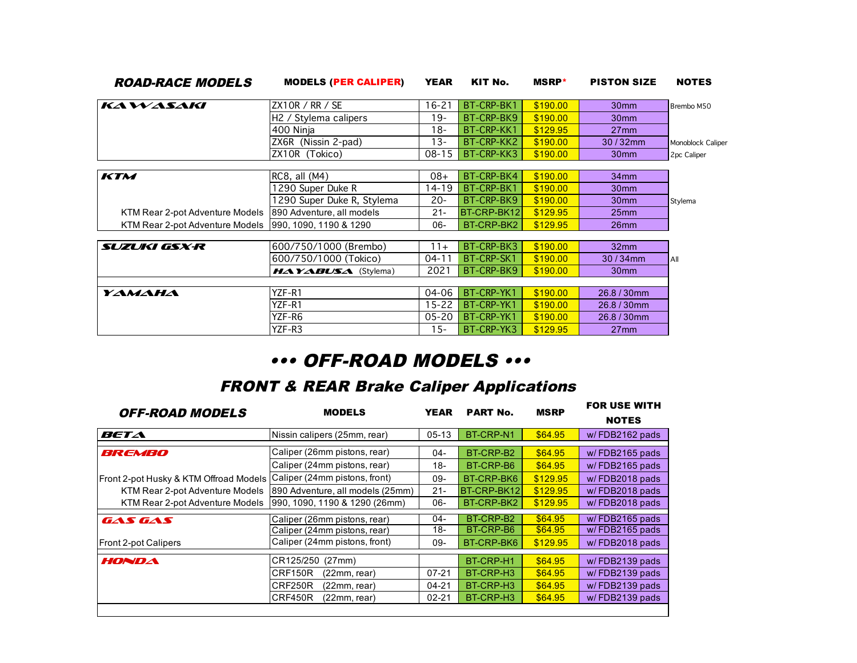| <i><b>ROAD-RACE MODELS</b></i>  | <b>MODELS (PER CALIPER)</b>                       | <b>YEAR</b> | KIT No.     | <b>MSRP</b> * | <b>PISTON SIZE</b> | <b>NOTES</b>      |
|---------------------------------|---------------------------------------------------|-------------|-------------|---------------|--------------------|-------------------|
| KAWASAKI                        | ZX10R / RR / SE                                   | $16 - 21$   | BT-CRP-BK1  | \$190.00      | 30 <sub>mm</sub>   | Brembo M50        |
|                                 | H <sub>2</sub> / Stylema calipers                 | $19 -$      | BT-CRP-BK9  | \$190.00      | 30 <sub>mm</sub>   |                   |
|                                 | 400 Ninja                                         | $18 -$      | BT-CRP-KK1  | \$129.95      | $27$ mm            |                   |
|                                 | ZX6R (Nissin 2-pad)                               | 13-         | BT-CRP-KK2  | \$190.00      | $30/32$ mm         | Monoblock Caliper |
|                                 | ZX10R (Tokico)                                    | $08 - 15$   | BT-CRP-KK3  | \$190.00      | 30 <sub>mm</sub>   | 2pc Caliper       |
| KTM                             | $RC8$ , all $(M4)$                                | $08+$       | BT-CRP-BK4  | \$190.00      | 34 <sub>mm</sub>   |                   |
|                                 | 1290 Super Duke R                                 | 14-19       | BT-CRP-BK1  | \$190.00      | 30 <sub>mm</sub>   |                   |
|                                 | 1290 Super Duke R, Stylema                        | $20 -$      | BT-CRP-BK9  | \$190.00      | 30 <sub>mm</sub>   | Stylema           |
| KTM Rear 2-pot Adventure Models | 890 Adventure, all models                         | $21 -$      | BT-CRP-BK12 | \$129.95      | 25 <sub>mm</sub>   |                   |
| KTM Rear 2-pot Adventure Models | 990, 1090, 1190 & 1290                            | $06-$       | BT-CRP-BK2  | \$129.95      | 26 <sub>mm</sub>   |                   |
| SUZUKI GSX-R                    | 600/750/1000 (Brembo)                             | $11+$       | BT-CRP-BK3  | \$190.00      | 32mm               |                   |
|                                 | 600/750/1000 (Tokico)                             | $04 - 11$   | BT-CRP-SK1  | \$190.00      | $30/34$ mm         | All               |
|                                 | $H \triangle Y \triangle BUS \triangle$ (Stylema) | 2021        | BT-CRP-BK9  | \$190.00      | 30 <sub>mm</sub>   |                   |
|                                 |                                                   |             |             |               |                    |                   |
| YAMAHA                          | YZF-R1                                            | 04-06       | BT-CRP-YK1  | \$190.00      | 26.8/30mm          |                   |
|                                 | YZF-R1                                            | $15 - 22$   | BT-CRP-YK1  | \$190.00      | 26.8/30mm          |                   |
|                                 | YZF-R6                                            | 05-20       | BT-CRP-YK1  | \$190.00      | 26.8/30mm          |                   |
|                                 | YZF-R3                                            | $15 -$      | BT-CRP-YK3  | \$129.95      | $27$ mm            |                   |

## ••• OFF-ROAD MODELS •••

## FRONT & REAR Brake Caliper Applications

| <i><b>OFF-ROAD MODELS</b></i>          | <b>MODELS</b>                    | <b>YEAR</b> | <b>PART No.</b> | <b>MSRP</b> | <b>FOR USE WITH</b><br><b>NOTES</b> |
|----------------------------------------|----------------------------------|-------------|-----------------|-------------|-------------------------------------|
| BETA                                   | Nissin calipers (25mm, rear)     | $05-13$     | BT-CRP-N1       | \$64.95     | w/FDB2162 pads                      |
| BREMBO                                 | Caliper (26mm pistons, rear)     | $04-$       | BT-CRP-B2       | \$64.95     | w/FDB2165 pads                      |
|                                        | Caliper (24mm pistons, rear)     | 18-         | BT-CRP-B6       | \$64.95     | w/FDB2165 pads                      |
| Front 2-pot Husky & KTM Offroad Models | Caliper (24mm pistons, front)    | 09-         | BT-CRP-BK6      | \$129.95    | w/FDB2018 pads                      |
| KTM Rear 2-pot Adventure Models        | 890 Adventure, all models (25mm) | $21 -$      | BT-CRP-BK12     | \$129.95    | w/FDB2018 pads                      |
| KTM Rear 2-pot Adventure Models        | 990, 1090, 1190 & 1290 (26mm)    | 06-         | BT-CRP-BK2      | \$129.95    | w/FDB2018 pads                      |
| GAS GAS                                | Caliper (26mm pistons, rear)     | $04 -$      | BT-CRP-B2       | \$64.95     | w/FDB2165 pads                      |
|                                        | Caliper (24mm pistons, rear)     | 18-         | BT-CRP-B6       | \$64.95     | w/FDB2165 pads                      |
| <b>Front 2-pot Calipers</b>            | Caliper (24mm pistons, front)    | $09-$       | BT-CRP-BK6      | \$129.95    | w/FDB2018 pads                      |
| HONDA                                  | CR125/250<br>(27mm)              |             | BT-CRP-H1       | \$64.95     | w/FDB2139 pads                      |
|                                        | CRF150R<br>(22mm, rear)          | $07 - 21$   | BT-CRP-H3       | \$64.95     | w/FDB2139 pads                      |
|                                        | CRF250R<br>(22mm, rear)          | 04-21       | BT-CRP-H3       | \$64.95     | w/FDB2139 pads                      |
|                                        | CRF450R<br>(22mm, rear)          | $02 - 21$   | BT-CRP-H3       | \$64.95     | w/FDB2139 pads                      |
|                                        |                                  |             |                 |             |                                     |